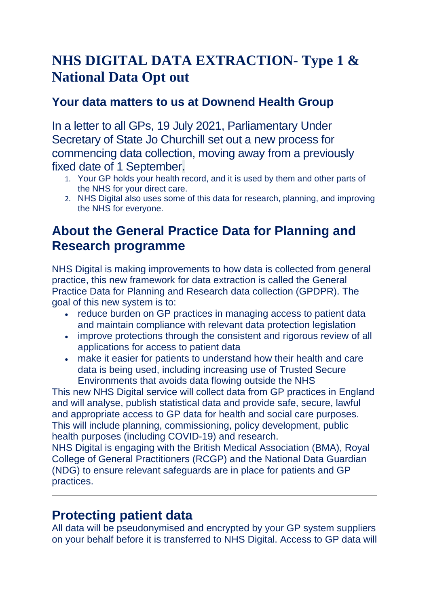# **NHS DIGITAL DATA EXTRACTION- Type 1 & National Data Opt out**

#### **Your data matters to us at Downend Health Group**

In a letter to all GPs, 19 July 2021, Parliamentary Under Secretary of State Jo Churchill set out a new process for commencing data collection, moving away from a previously fixed date of 1 September.

- 1. Your GP holds your health record, and it is used by them and other parts of the NHS for your direct care.
- 2. NHS Digital also uses some of this data for research, planning, and improving the NHS for everyone.

## **About the General Practice Data for Planning and Research programme**

NHS Digital is making improvements to how data is collected from general practice, this new framework for data extraction is called the General Practice Data for Planning and Research data collection (GPDPR). The goal of this new system is to:

- reduce burden on GP practices in managing access to patient data and maintain compliance with relevant data protection legislation
- improve protections through the consistent and rigorous review of all applications for access to patient data
- make it easier for patients to understand how their health and care data is being used, including increasing use of Trusted Secure Environments that avoids data flowing outside the NHS

This new NHS Digital service will collect data from GP practices in England and will analyse, publish statistical data and provide safe, secure, lawful and appropriate access to GP data for health and social care purposes. This will include planning, commissioning, policy development, public health purposes (including COVID-19) and research.

NHS Digital is engaging with the British Medical Association (BMA), Royal College of General Practitioners (RCGP) and the National Data Guardian (NDG) to ensure relevant safeguards are in place for patients and GP practices.

### **Protecting patient data**

All data will be pseudonymised and encrypted by your GP system suppliers on your behalf before it is transferred to NHS Digital. Access to GP data will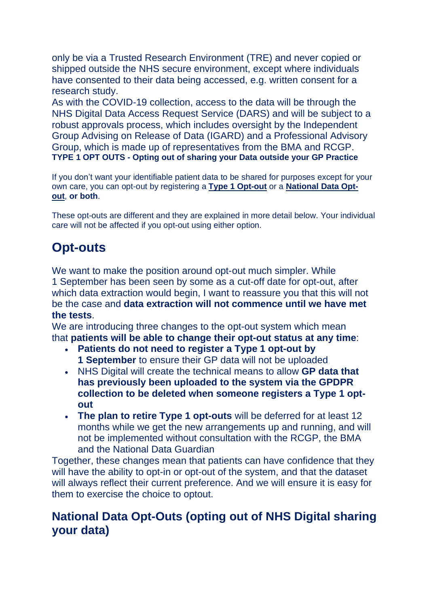only be via a Trusted Research Environment (TRE) and never copied or shipped outside the NHS secure environment, except where individuals have consented to their data being accessed, e.g. written consent for a research study.

As with the COVID-19 collection, access to the data will be through the NHS Digital Data Access Request Service (DARS) and will be subject to a robust approvals process, which includes oversight by the Independent Group Advising on Release of Data (IGARD) and a Professional Advisory Group, which is made up of representatives from the BMA and RCGP. **TYPE 1 OPT OUTS - Opting out of sharing your Data outside your GP Practice**

If you don't want your identifiable patient data to be shared for purposes except for your own care, you can opt-out by registering a **Type 1 [Opt-out](https://digital.nhs.uk/about-nhs-digital/our-work/keeping-patient-data-safe/how-we-look-after-your-health-and-care-information/your-information-choices/opting-out-of-sharing-your-confidential-patient-information)** or a **[National](https://www.nhs.uk/your-nhs-data-matters/manage-your-choice/) Data Opt[out](https://www.nhs.uk/your-nhs-data-matters/manage-your-choice/)**, **or both**.

These opt-outs are different and they are explained in more detail below. Your individual care will not be affected if you opt-out using either option.

## **Opt-outs**

We want to make the position around opt-out much simpler. While 1 September has been seen by some as a cut-off date for opt-out, after which data extraction would begin, I want to reassure you that this will not be the case and **data extraction will not commence until we have met the tests**.

We are introducing three changes to the opt-out system which mean that **patients will be able to change their opt-out status at any time**:

- **Patients do not need to register a Type 1 opt-out by 1 September** to ensure their GP data will not be uploaded
- NHS Digital will create the technical means to allow **GP data that has previously been uploaded to the system via the GPDPR collection to be deleted when someone registers a Type 1 optout**
- **The plan to retire Type 1 opt-outs** will be deferred for at least 12 months while we get the new arrangements up and running, and will not be implemented without consultation with the RCGP, the BMA and the National Data Guardian

Together, these changes mean that patients can have confidence that they will have the ability to opt-in or opt-out of the system, and that the dataset will always reflect their current preference. And we will ensure it is easy for them to exercise the choice to optout.

#### **National Data Opt-Outs (opting out of NHS Digital sharing your data)**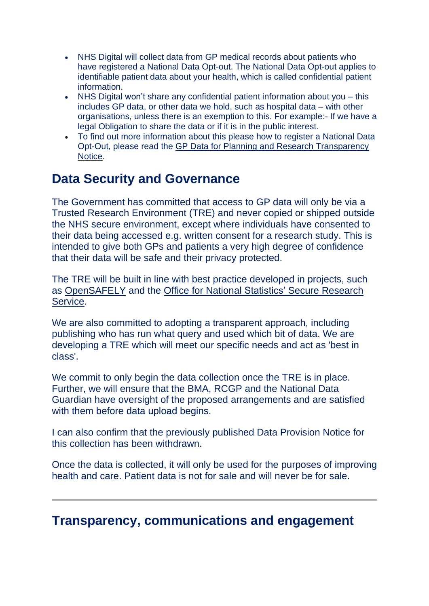- NHS Digital will collect data from GP medical records about patients who have registered a National Data Opt-out. The National Data Opt-out applies to identifiable patient data about your health, which is called confidential patient information.
- NHS Digital won't share any confidential patient information about you this includes GP data, or other data we hold, such as hospital data – with other organisations, unless there is an exemption to this. For example:- If we have a legal Obligation to share the data or if it is in the public interest.
- To find out more information about this please how to register a National Data Opt-Out, please read the GP Data for Planning and Research [Transparency](https://digital.nhs.uk/data-and-information/data-collections-and-data-sets/data-collections/general-practice-data-for-planning-and-research/transparency-notice) [Notice.](https://digital.nhs.uk/data-and-information/data-collections-and-data-sets/data-collections/general-practice-data-for-planning-and-research/transparency-notice)

### **Data Security and Governance**

The Government has committed that access to GP data will only be via a Trusted Research Environment (TRE) and never copied or shipped outside the NHS secure environment, except where individuals have consented to their data being accessed e.g. written consent for a research study. This is intended to give both GPs and patients a very high degree of confidence that their data will be safe and their privacy protected.

The TRE will be built in line with best practice developed in projects, such as [OpenSAFELY](https://www.opensafely.org/) and the Office for National Statistics' Secure [Research](https://www.ons.gov.uk/aboutus/whatwedo/statistics/requestingstatistics/approvedresearcherscheme) [Service.](https://www.ons.gov.uk/aboutus/whatwedo/statistics/requestingstatistics/approvedresearcherscheme)

We are also committed to adopting a transparent approach, including publishing who has run what query and used which bit of data. We are developing a TRE which will meet our specific needs and act as 'best in class'.

We commit to only begin the data collection once the TRE is in place. Further, we will ensure that the BMA, RCGP and the National Data Guardian have oversight of the proposed arrangements and are satisfied with them before data upload begins.

I can also confirm that the previously published Data Provision Notice for this collection has been withdrawn.

Once the data is collected, it will only be used for the purposes of improving health and care. Patient data is not for sale and will never be for sale.

### **Transparency, communications and engagement**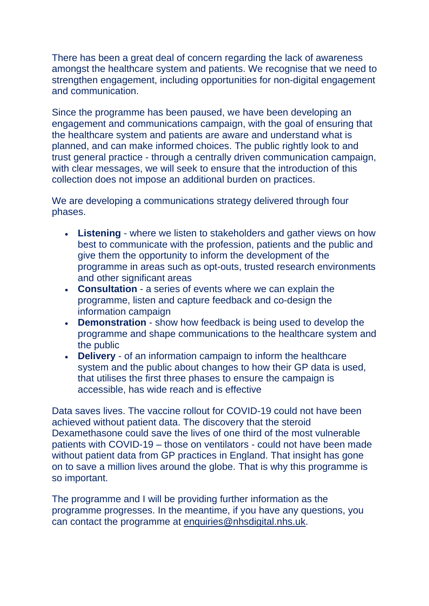There has been a great deal of concern regarding the lack of awareness amongst the healthcare system and patients. We recognise that we need to strengthen engagement, including opportunities for non-digital engagement and communication.

Since the programme has been paused, we have been developing an engagement and communications campaign, with the goal of ensuring that the healthcare system and patients are aware and understand what is planned, and can make informed choices. The public rightly look to and trust general practice - through a centrally driven communication campaign, with clear messages, we will seek to ensure that the introduction of this collection does not impose an additional burden on practices.

We are developing a communications strategy delivered through four phases.

- **Listening** where we listen to stakeholders and gather views on how best to communicate with the profession, patients and the public and give them the opportunity to inform the development of the programme in areas such as opt-outs, trusted research environments and other significant areas
- **Consultation** a series of events where we can explain the programme, listen and capture feedback and co-design the information campaign
- **Demonstration** show how feedback is being used to develop the programme and shape communications to the healthcare system and the public
- **Delivery** of an information campaign to inform the healthcare system and the public about changes to how their GP data is used, that utilises the first three phases to ensure the campaign is accessible, has wide reach and is effective

Data saves lives. The vaccine rollout for COVID-19 could not have been achieved without patient data. The discovery that the steroid Dexamethasone could save the lives of one third of the most vulnerable patients with COVID-19 – those on ventilators - could not have been made without patient data from GP practices in England. That insight has gone on to save a million lives around the globe. That is why this programme is so important.

The programme and I will be providing further information as the programme progresses. In the meantime, if you have any questions, you can contact the programme at [enquiries@nhsdigital.nhs.uk.](mailto:enquiries@nhsdigital.nhs.uk)